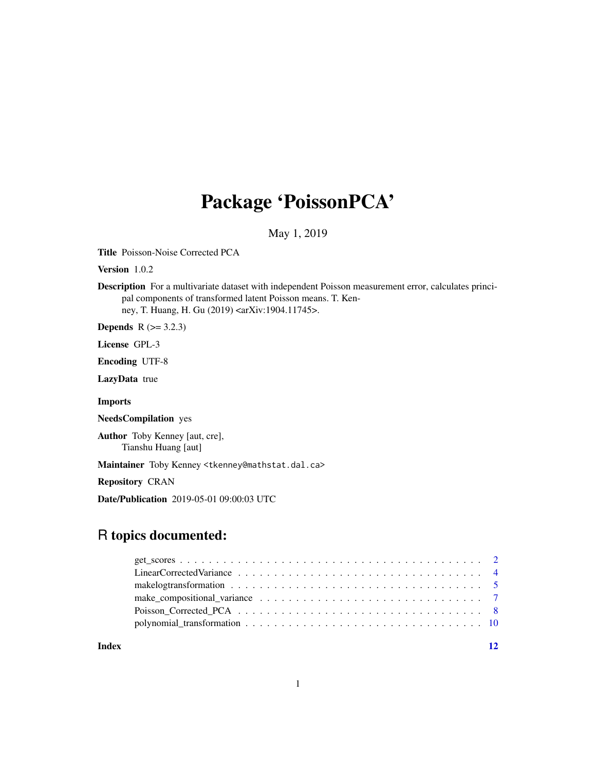## Package 'PoissonPCA'

May 1, 2019

Title Poisson-Noise Corrected PCA

Version 1.0.2

Description For a multivariate dataset with independent Poisson measurement error, calculates principal components of transformed latent Poisson means. T. Kenney, T. Huang, H. Gu (2019) <arXiv:1904.11745>.

**Depends**  $R$  ( $>= 3.2.3$ )

License GPL-3

Encoding UTF-8

LazyData true

Imports

NeedsCompilation yes

Author Toby Kenney [aut, cre], Tianshu Huang [aut]

Maintainer Toby Kenney <tkenney@mathstat.dal.ca>

Repository CRAN

Date/Publication 2019-05-01 09:00:03 UTC

## R topics documented:

|  |  |  |  |  |  |  |  |  |  |  |  |  |  |  | make_compositional_variance $\ldots \ldots \ldots \ldots \ldots \ldots \ldots \ldots \ldots \ldots \ldots$ |
|--|--|--|--|--|--|--|--|--|--|--|--|--|--|--|------------------------------------------------------------------------------------------------------------|

**Index** [12](#page-11-0)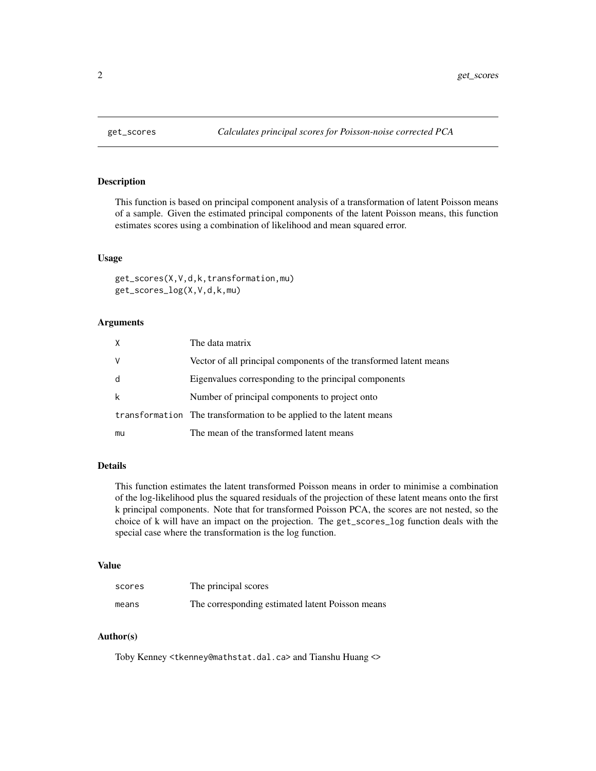<span id="page-1-0"></span>

## Description

This function is based on principal component analysis of a transformation of latent Poisson means of a sample. Given the estimated principal components of the latent Poisson means, this function estimates scores using a combination of likelihood and mean squared error.

## Usage

```
get_scores(X,V,d,k,transformation,mu)
get_scores_log(X,V,d,k,mu)
```
#### Arguments

| X  | The data matrix                                                     |
|----|---------------------------------------------------------------------|
| V  | Vector of all principal components of the transformed latent means  |
| d  | Eigenvalues corresponding to the principal components               |
| k  | Number of principal components to project onto                      |
|    | transformation The transformation to be applied to the latent means |
| mu | The mean of the transformed latent means                            |

## Details

This function estimates the latent transformed Poisson means in order to minimise a combination of the log-likelihood plus the squared residuals of the projection of these latent means onto the first k principal components. Note that for transformed Poisson PCA, the scores are not nested, so the choice of k will have an impact on the projection. The get\_scores\_log function deals with the special case where the transformation is the log function.

#### Value

| scores | The principal scores                             |
|--------|--------------------------------------------------|
| means  | The corresponding estimated latent Poisson means |

#### Author(s)

Toby Kenney <tkenney@mathstat.dal.ca> and Tianshu Huang <>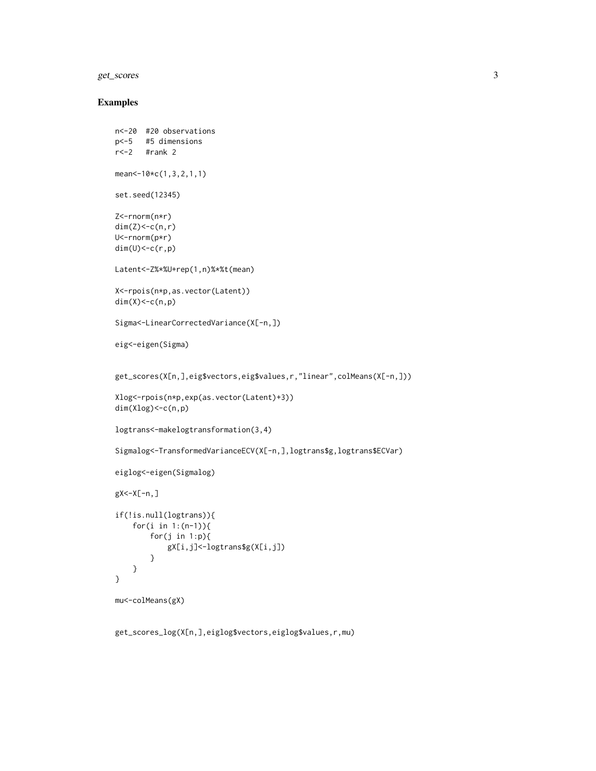## get\_scores 3

## Examples

```
n<-20 #20 observations
p<-5 #5 dimensions
r<-2 #rank 2
mean<-10*c(1,3,2,1,1)
set.seed(12345)
Z<-rnorm(n*r)
dim(Z) < -c(n,r)U<-rnorm(p*r)
dim(U) < -c(r,p)Latent<-Z%*%U+rep(1,n)%*%t(mean)
X<-rpois(n*p,as.vector(Latent))
dim(X) < -c(n,p)Sigma<-LinearCorrectedVariance(X[-n,])
eig<-eigen(Sigma)
get_scores(X[n,],eig$vectors,eig$values,r,"linear",colMeans(X[-n,]))
Xlog<-rpois(n*p,exp(as.vector(Latent)+3))
dim(Xlog)<-c(n,p)
logtrans<-makelogtransformation(3,4)
Sigmalog<-TransformedVarianceECV(X[-n,],logtrans$g,logtrans$ECVar)
eiglog<-eigen(Sigmalog)
gX<-X[-n,]
if(!is.null(logtrans)){
   for(i in 1:(n-1)){
       for(j in 1:p){
            gX[i,j]<-logtrans$g(X[i,j])
       }
   }
}
mu<-colMeans(gX)
```
get\_scores\_log(X[n,],eiglog\$vectors,eiglog\$values,r,mu)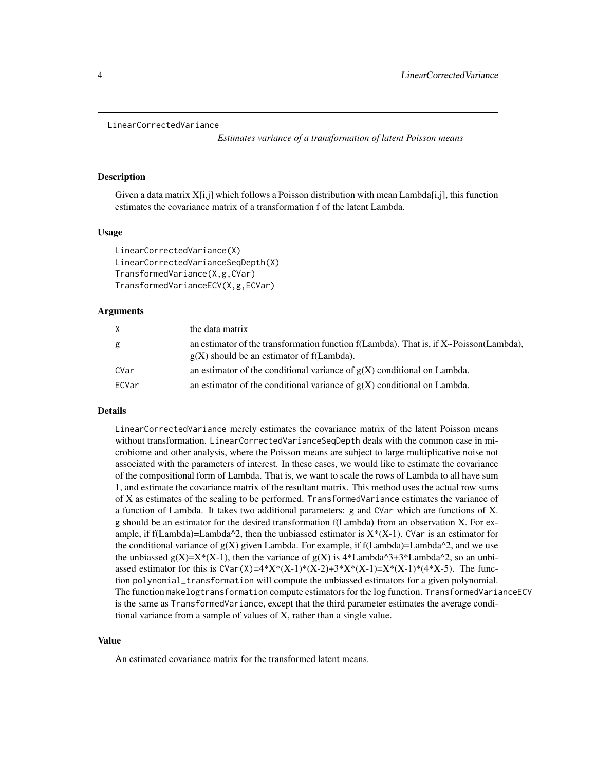```
LinearCorrectedVariance
```
*Estimates variance of a transformation of latent Poisson means*

#### Description

Given a data matrix  $X[i,j]$  which follows a Poisson distribution with mean Lambda[i,j], this function estimates the covariance matrix of a transformation f of the latent Lambda.

#### Usage

```
LinearCorrectedVariance(X)
LinearCorrectedVarianceSeqDepth(X)
TransformedVariance(X,g,CVar)
TransformedVarianceECV(X,g,ECVar)
```
#### Arguments

| X.    | the data matrix                                                                                                                      |
|-------|--------------------------------------------------------------------------------------------------------------------------------------|
| g     | an estimator of the transformation function f(Lambda). That is, if X~Poisson(Lambda),<br>$g(X)$ should be an estimator of f(Lambda). |
| CVar  | an estimator of the conditional variance of $g(X)$ conditional on Lambda.                                                            |
| ECVar | an estimator of the conditional variance of $g(X)$ conditional on Lambda.                                                            |

#### Details

LinearCorrectedVariance merely estimates the covariance matrix of the latent Poisson means without transformation. LinearCorrectedVarianceSeqDepth deals with the common case in microbiome and other analysis, where the Poisson means are subject to large multiplicative noise not associated with the parameters of interest. In these cases, we would like to estimate the covariance of the compositional form of Lambda. That is, we want to scale the rows of Lambda to all have sum 1, and estimate the covariance matrix of the resultant matrix. This method uses the actual row sums of X as estimates of the scaling to be performed. TransformedVariance estimates the variance of a function of Lambda. It takes two additional parameters: g and CVar which are functions of X. g should be an estimator for the desired transformation f(Lambda) from an observation X. For example, if f(Lambda)=Lambda^2, then the unbiassed estimator is  $X^*(X-1)$ . CVar is an estimator for the conditional variance of  $g(X)$  given Lambda. For example, if  $f(Lambda)=Lambda^2$ , and we use the unbiassed  $g(X)=X^*(X-1)$ , then the variance of  $g(X)$  is  $4^*Lambda^3+3^*Lambda^2$ , so an unbiassed estimator for this is  $CVar(X)=4*X*(X-1)*(X-2)+3*X*(X-1)=X*(X-1)*(4*X-5)$ . The function polynomial\_transformation will compute the unbiassed estimators for a given polynomial. The function makelogtransformation compute estimators for the log function. TransformedVarianceECV is the same as TransformedVariance, except that the third parameter estimates the average conditional variance from a sample of values of X, rather than a single value.

#### Value

An estimated covariance matrix for the transformed latent means.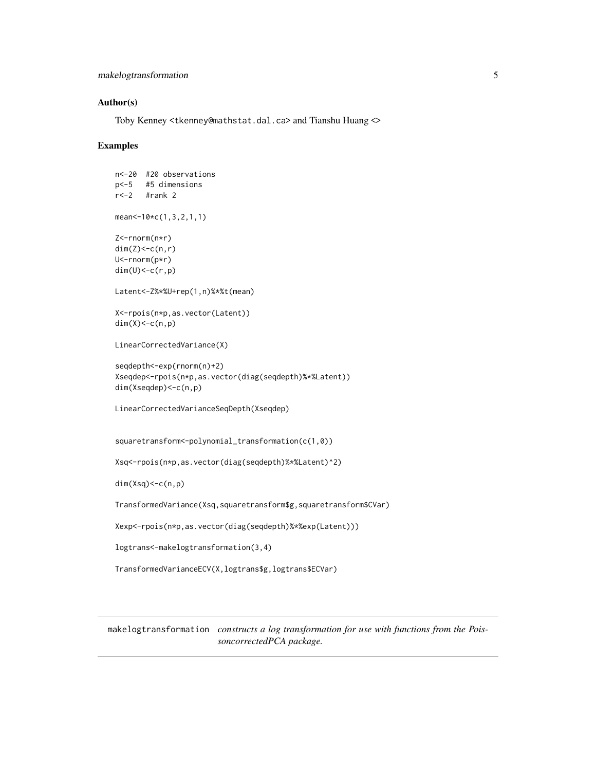```
makelogtransformation 5
```
## Author(s)

Toby Kenney <tkenney@mathstat.dal.ca> and Tianshu Huang <>

#### Examples

```
n<-20 #20 observations
p<-5 #5 dimensions
r<-2 #rank 2
mean<-10*c(1,3,2,1,1)
Z<-rnorm(n*r)
dim(Z) < - c(n, r)
U<-rnorm(p*r)
dim(U) < -c(r,p)Latent<-Z%*%U+rep(1,n)%*%t(mean)
X<-rpois(n*p,as.vector(Latent))
dim(X) < -c(n,p)LinearCorrectedVariance(X)
seqdepth<-exp(rnorm(n)+2)
Xseqdep<-rpois(n*p,as.vector(diag(seqdepth)%*%Latent))
dim(Xseqdep)<-c(n,p)
LinearCorrectedVarianceSeqDepth(Xseqdep)
squaretransform<-polynomial_transformation(c(1,0))
Xsq<-rpois(n*p,as.vector(diag(seqdepth)%*%Latent)^2)
dim(Xsq)<-c(n,p)
TransformedVariance(Xsq,squaretransform$g,squaretransform$CVar)
Xexp<-rpois(n*p,as.vector(diag(seqdepth)%*%exp(Latent)))
```
logtrans<-makelogtransformation(3,4)

TransformedVarianceECV(X,logtrans\$g,logtrans\$ECVar)

makelogtransformation *constructs a log transformation for use with functions from the PoissoncorrectedPCA package.*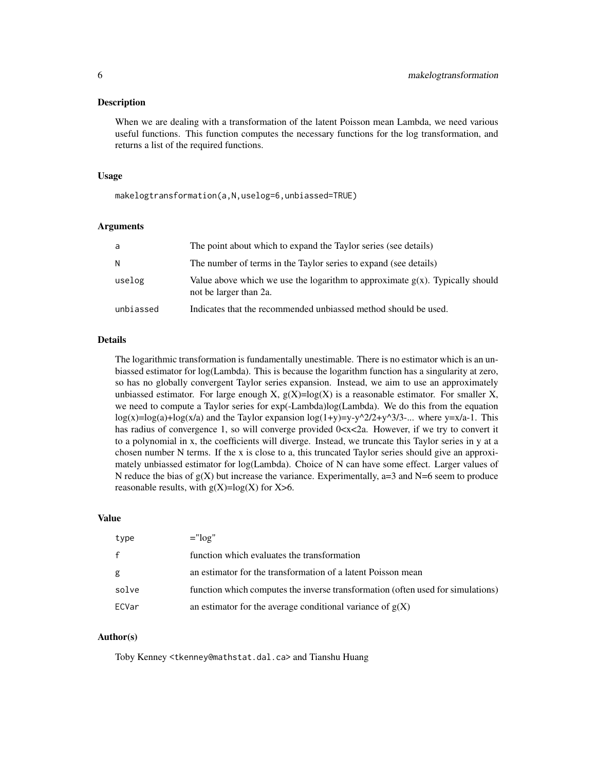#### Description

When we are dealing with a transformation of the latent Poisson mean Lambda, we need various useful functions. This function computes the necessary functions for the log transformation, and returns a list of the required functions.

#### Usage

makelogtransformation(a,N,uselog=6,unbiassed=TRUE)

#### Arguments

| a         | The point about which to expand the Taylor series (see details)                                           |
|-----------|-----------------------------------------------------------------------------------------------------------|
| N         | The number of terms in the Taylor series to expand (see details)                                          |
| uselog    | Value above which we use the logarithm to approximate $g(x)$ . Typically should<br>not be larger than 2a. |
| unbiassed | Indicates that the recommended unbiassed method should be used.                                           |

#### Details

The logarithmic transformation is fundamentally unestimable. There is no estimator which is an unbiassed estimator for log(Lambda). This is because the logarithm function has a singularity at zero, so has no globally convergent Taylor series expansion. Instead, we aim to use an approximately unbiassed estimator. For large enough X,  $g(X)=log(X)$  is a reasonable estimator. For smaller X, we need to compute a Taylor series for exp(-Lambda)log(Lambda). We do this from the equation  $log(x)=log(a)+log(x/a)$  and the Taylor expansion  $log(1+y)=y-y^{2}/2+y^{3}/3-...$  where y=x/a-1. This has radius of convergence 1, so will converge provided  $0 \ll x \ll 2a$ . However, if we try to convert it to a polynomial in x, the coefficients will diverge. Instead, we truncate this Taylor series in y at a chosen number N terms. If the x is close to a, this truncated Taylor series should give an approximately unbiassed estimator for log(Lambda). Choice of N can have some effect. Larger values of N reduce the bias of  $g(X)$  but increase the variance. Experimentally, a=3 and N=6 seem to produce reasonable results, with  $g(X)=log(X)$  for  $X>6$ .

#### Value

| type         | $=$ " $\log$ "                                                                  |
|--------------|---------------------------------------------------------------------------------|
| $\mathbf{f}$ | function which evaluates the transformation                                     |
| g            | an estimator for the transformation of a latent Poisson mean                    |
| solve        | function which computes the inverse transformation (often used for simulations) |
| ECVar        | an estimator for the average conditional variance of $g(X)$                     |

#### Author(s)

Toby Kenney <tkenney@mathstat.dal.ca> and Tianshu Huang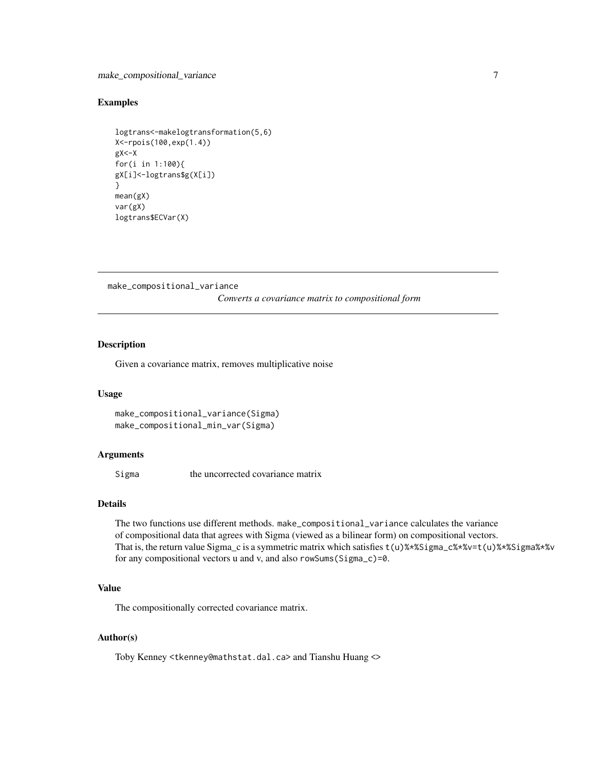#### <span id="page-6-0"></span>Examples

```
logtrans<-makelogtransformation(5,6)
X<-rpois(100,exp(1.4))
gX < -Xfor(i in 1:100){
gX[i]<-logtrans$g(X[i])
}
mean(gX)
var(gX)
logtrans$ECVar(X)
```

```
make_compositional_variance
```
*Converts a covariance matrix to compositional form*

## Description

Given a covariance matrix, removes multiplicative noise

#### Usage

```
make_compositional_variance(Sigma)
make_compositional_min_var(Sigma)
```
#### Arguments

Sigma the uncorrected covariance matrix

## Details

The two functions use different methods. make\_compositional\_variance calculates the variance of compositional data that agrees with Sigma (viewed as a bilinear form) on compositional vectors. That is, the return value Sigma\_c is a symmetric matrix which satisfies t(u)%\*%Sigma\_c%\*%v=t(u)%\*%Sigma%\*%v for any compositional vectors u and v, and also rowSums(Sigma\_c)=0.

## Value

The compositionally corrected covariance matrix.

#### Author(s)

Toby Kenney <tkenney@mathstat.dal.ca> and Tianshu Huang <>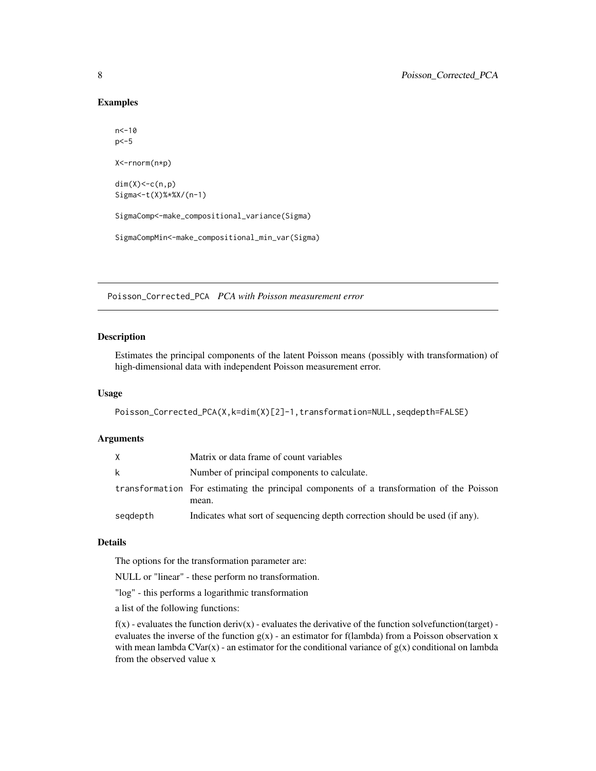#### Examples

```
n < -10p<-5
X<-rnorm(n*p)
dim(X) < -c(n,p)Sigma<-t(X)%*%X/(n-1)
SigmaComp<-make_compositional_variance(Sigma)
SigmaCompMin<-make_compositional_min_var(Sigma)
```
Poisson\_Corrected\_PCA *PCA with Poisson measurement error*

## Description

Estimates the principal components of the latent Poisson means (possibly with transformation) of high-dimensional data with independent Poisson measurement error.

#### Usage

```
Poisson_Corrected_PCA(X,k=dim(X)[2]-1,transformation=NULL,seqdepth=FALSE)
```
### Arguments

|          | Matrix or data frame of count variables                                                            |
|----------|----------------------------------------------------------------------------------------------------|
| k        | Number of principal components to calculate.                                                       |
|          | transformation For estimating the principal components of a transformation of the Poisson<br>mean. |
| segdepth | Indicates what sort of sequencing depth correction should be used (if any).                        |

#### Details

The options for the transformation parameter are:

NULL or "linear" - these perform no transformation.

"log" - this performs a logarithmic transformation

a list of the following functions:

 $f(x)$  - evaluates the function deriv(x) - evaluates the derivative of the function solvefunction(target) evaluates the inverse of the function  $g(x)$  - an estimator for f(lambda) from a Poisson observation x with mean lambda  $CVar(x)$  - an estimator for the conditional variance of  $g(x)$  conditional on lambda from the observed value x

<span id="page-7-0"></span>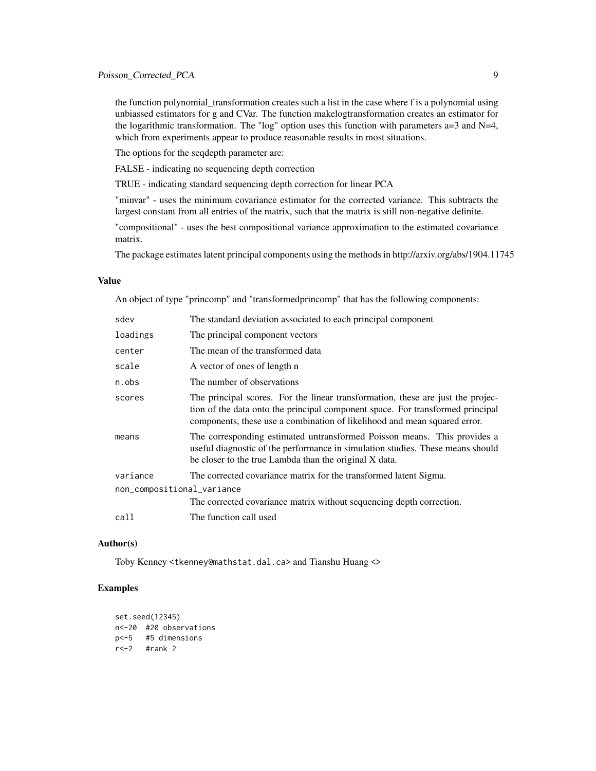the function polynomial\_transformation creates such a list in the case where f is a polynomial using unbiassed estimators for g and CVar. The function makelogtransformation creates an estimator for the logarithmic transformation. The "log" option uses this function with parameters  $a=3$  and  $N=4$ , which from experiments appear to produce reasonable results in most situations.

The options for the seqdepth parameter are:

FALSE - indicating no sequencing depth correction

TRUE - indicating standard sequencing depth correction for linear PCA

"minvar" - uses the minimum covariance estimator for the corrected variance. This subtracts the largest constant from all entries of the matrix, such that the matrix is still non-negative definite.

"compositional" - uses the best compositional variance approximation to the estimated covariance matrix.

The package estimates latent principal components using the methods in http://arxiv.org/abs/1904.11745

## Value

An object of type "princomp" and "transformedprincomp" that has the following components:

| sdev                       | The standard deviation associated to each principal component                                                                                                                                                                                  |
|----------------------------|------------------------------------------------------------------------------------------------------------------------------------------------------------------------------------------------------------------------------------------------|
| loadings                   | The principal component vectors                                                                                                                                                                                                                |
| center                     | The mean of the transformed data                                                                                                                                                                                                               |
| scale                      | A vector of ones of length n                                                                                                                                                                                                                   |
| n.obs                      | The number of observations                                                                                                                                                                                                                     |
| scores                     | The principal scores. For the linear transformation, these are just the projec-<br>tion of the data onto the principal component space. For transformed principal<br>components, these use a combination of likelihood and mean squared error. |
| means                      | The corresponding estimated untransformed Poisson means. This provides a<br>useful diagnostic of the performance in simulation studies. These means should<br>be closer to the true Lambda than the original X data.                           |
| variance                   | The corrected covariance matrix for the transformed latent Sigma.                                                                                                                                                                              |
| non_compositional_variance |                                                                                                                                                                                                                                                |
|                            | The corrected covariance matrix without sequencing depth correction.                                                                                                                                                                           |
| call                       | The function call used                                                                                                                                                                                                                         |

#### Author(s)

Toby Kenney <tkenney@mathstat.dal.ca> and Tianshu Huang <>

#### Examples

```
set.seed(12345)
n<-20 #20 observations
p<-5 #5 dimensions
r < -2 #rank 2
```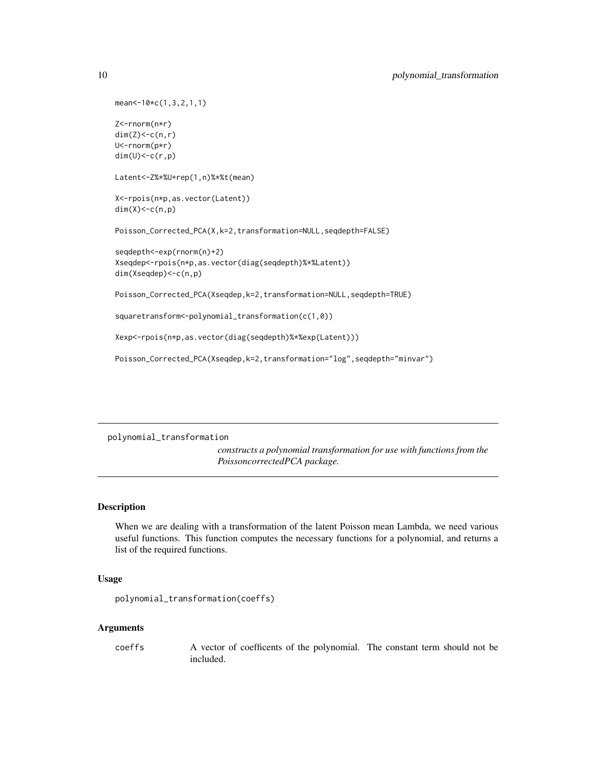```
mean<-10*c(1,3,2,1,1)
Z<-rnorm(n*r)
dim(Z) < - c(n, r)
U<-rnorm(p*r)
dim(U)<-c(r,p)
Latent<-Z%*%U+rep(1,n)%*%t(mean)
X<-rpois(n*p,as.vector(Latent))
dim(X) < -c(n,p)Poisson_Corrected_PCA(X,k=2,transformation=NULL,seqdepth=FALSE)
seqdepth<-exp(rnorm(n)+2)
Xseqdep<-rpois(n*p,as.vector(diag(seqdepth)%*%Latent))
dim(Xseqdep)<-c(n,p)
Poisson_Corrected_PCA(Xseqdep,k=2,transformation=NULL,seqdepth=TRUE)
squaretransform<-polynomial_transformation(c(1,0))
Xexp<-rpois(n*p,as.vector(diag(seqdepth)%*%exp(Latent)))
```
Poisson\_Corrected\_PCA(Xseqdep,k=2,transformation="log",seqdepth="minvar")

polynomial\_transformation

*constructs a polynomial transformation for use with functions from the PoissoncorrectedPCA package.*

#### Description

When we are dealing with a transformation of the latent Poisson mean Lambda, we need various useful functions. This function computes the necessary functions for a polynomial, and returns a list of the required functions.

## Usage

```
polynomial_transformation(coeffs)
```
## **Arguments**

coeffs A vector of coefficents of the polynomial. The constant term should not be included.

<span id="page-9-0"></span>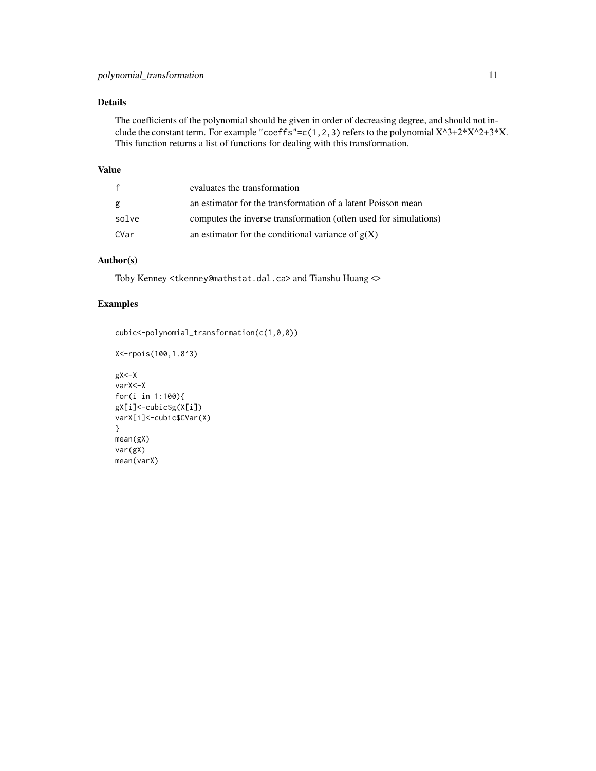## Details

The coefficients of the polynomial should be given in order of decreasing degree, and should not include the constant term. For example "coeffs"=c(1,2,3) refers to the polynomial  $X^3+2*X^2+3*X$ . This function returns a list of functions for dealing with this transformation.

## Value

| $\mathbf{f}$ | evaluates the transformation                                     |
|--------------|------------------------------------------------------------------|
| g            | an estimator for the transformation of a latent Poisson mean     |
| solve        | computes the inverse transformation (often used for simulations) |
| CVar         | an estimator for the conditional variance of $g(X)$              |

## Author(s)

Toby Kenney <tkenney@mathstat.dal.ca> and Tianshu Huang <>

## Examples

```
cubic<-polynomial_transformation(c(1,0,0))
```

```
X<-rpois(100,1.8^3)
gX < -XvarX<-X
for(i in 1:100){
gX[i]<-cubic$g(X[i])
varX[i]<-cubic$CVar(X)
}
mean(gX)
var(gX)
mean(varX)
```